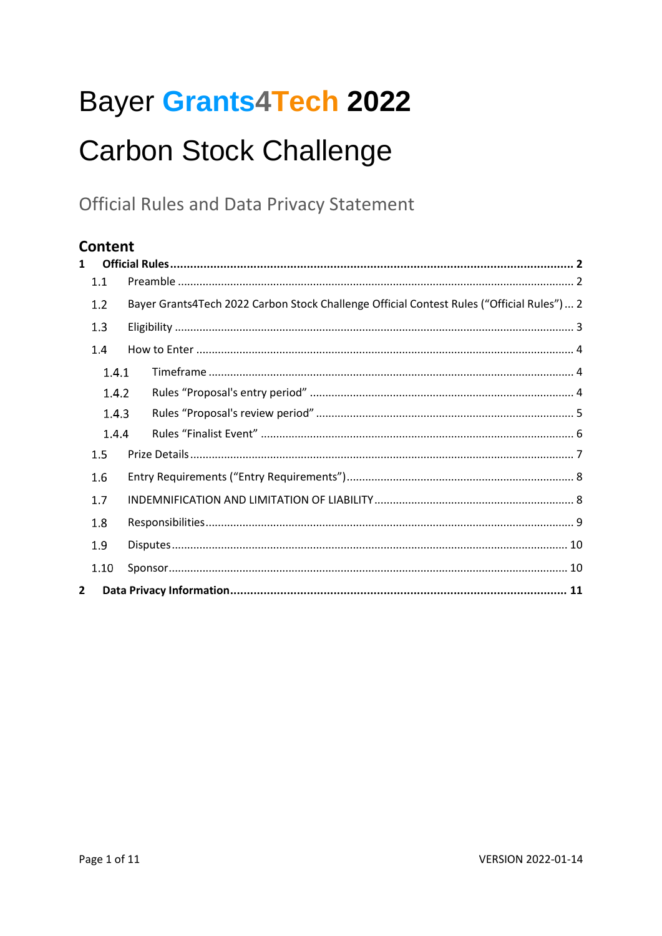# Bayer Grants4Tech 2022

# **Carbon Stock Challenge**

**Official Rules and Data Privacy Statement** 

# Content

| $\mathbf{1}$ |       |  |                                                                                            |  |  |  |
|--------------|-------|--|--------------------------------------------------------------------------------------------|--|--|--|
|              | 1.1   |  |                                                                                            |  |  |  |
|              | 1.2   |  | Bayer Grants4Tech 2022 Carbon Stock Challenge Official Contest Rules ("Official Rules")  2 |  |  |  |
|              | 1.3   |  |                                                                                            |  |  |  |
|              | 1.4   |  |                                                                                            |  |  |  |
|              | 1.4.1 |  |                                                                                            |  |  |  |
|              | 1.4.2 |  |                                                                                            |  |  |  |
|              | 1.4.3 |  |                                                                                            |  |  |  |
|              | 1.4.4 |  |                                                                                            |  |  |  |
|              | 1.5   |  |                                                                                            |  |  |  |
|              | 1.6   |  |                                                                                            |  |  |  |
|              | 1.7   |  |                                                                                            |  |  |  |
|              | 1.8   |  |                                                                                            |  |  |  |
|              | 1.9   |  |                                                                                            |  |  |  |
|              | 1.10  |  |                                                                                            |  |  |  |
| 2            |       |  |                                                                                            |  |  |  |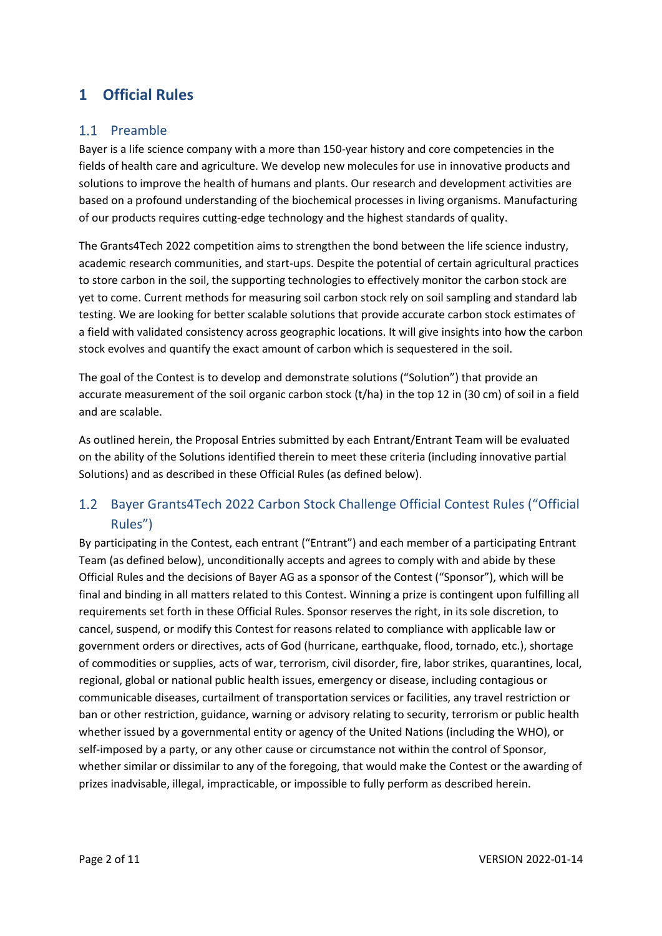# **1 Official Rules**

## 1.1 Preamble

Bayer is a life science company with a more than 150-year history and core competencies in the fields of health care and agriculture. We develop new molecules for use in innovative products and solutions to improve the health of humans and plants. Our research and development activities are based on a profound understanding of the biochemical processes in living organisms. Manufacturing of our products requires cutting-edge technology and the highest standards of quality.

The Grants4Tech 2022 competition aims to strengthen the bond between the life science industry, academic research communities, and start-ups. Despite the potential of certain agricultural practices to store carbon in the soil, the supporting technologies to effectively monitor the carbon stock are yet to come. Current methods for measuring soil carbon stock rely on soil sampling and standard lab testing. We are looking for better scalable solutions that provide accurate carbon stock estimates of a field with validated consistency across geographic locations. It will give insights into how the carbon stock evolves and quantify the exact amount of carbon which is sequestered in the soil.

The goal of the Contest is to develop and demonstrate solutions ("Solution") that provide an accurate measurement of the soil organic carbon stock (t/ha) in the top 12 in (30 cm) of soil in a field and are scalable.

As outlined herein, the Proposal Entries submitted by each Entrant/Entrant Team will be evaluated on the ability of the Solutions identified therein to meet these criteria (including innovative partial Solutions) and as described in these Official Rules (as defined below).

# Bayer Grants4Tech 2022 Carbon Stock Challenge Official Contest Rules ("Official Rules")

By participating in the Contest, each entrant ("Entrant") and each member of a participating Entrant Team (as defined below), unconditionally accepts and agrees to comply with and abide by these Official Rules and the decisions of Bayer AG as a sponsor of the Contest ("Sponsor"), which will be final and binding in all matters related to this Contest. Winning a prize is contingent upon fulfilling all requirements set forth in these Official Rules. Sponsor reserves the right, in its sole discretion, to cancel, suspend, or modify this Contest for reasons related to compliance with applicable law or government orders or directives, acts of God (hurricane, earthquake, flood, tornado, etc.), shortage of commodities or supplies, acts of war, terrorism, civil disorder, fire, labor strikes, quarantines, local, regional, global or national public health issues, emergency or disease, including contagious or communicable diseases, curtailment of transportation services or facilities, any travel restriction or ban or other restriction, guidance, warning or advisory relating to security, terrorism or public health whether issued by a governmental entity or agency of the United Nations (including the WHO), or self-imposed by a party, or any other cause or circumstance not within the control of Sponsor, whether similar or dissimilar to any of the foregoing, that would make the Contest or the awarding of prizes inadvisable, illegal, impracticable, or impossible to fully perform as described herein.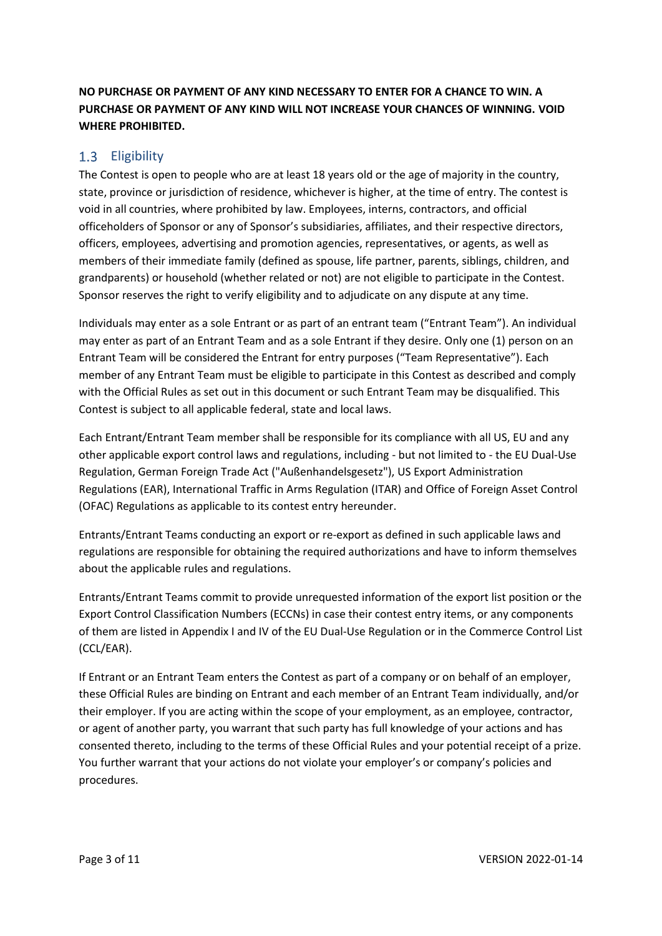**NO PURCHASE OR PAYMENT OF ANY KIND NECESSARY TO ENTER FOR A CHANCE TO WIN. A PURCHASE OR PAYMENT OF ANY KIND WILL NOT INCREASE YOUR CHANCES OF WINNING. VOID WHERE PROHIBITED.**

# 1.3 Eligibility

The Contest is open to people who are at least 18 years old or the age of majority in the country, state, province or jurisdiction of residence, whichever is higher, at the time of entry. The contest is void in all countries, where prohibited by law. Employees, interns, contractors, and official officeholders of Sponsor or any of Sponsor's subsidiaries, affiliates, and their respective directors, officers, employees, advertising and promotion agencies, representatives, or agents, as well as members of their immediate family (defined as spouse, life partner, parents, siblings, children, and grandparents) or household (whether related or not) are not eligible to participate in the Contest. Sponsor reserves the right to verify eligibility and to adjudicate on any dispute at any time.

Individuals may enter as a sole Entrant or as part of an entrant team ("Entrant Team"). An individual may enter as part of an Entrant Team and as a sole Entrant if they desire. Only one (1) person on an Entrant Team will be considered the Entrant for entry purposes ("Team Representative"). Each member of any Entrant Team must be eligible to participate in this Contest as described and comply with the Official Rules as set out in this document or such Entrant Team may be disqualified. This Contest is subject to all applicable federal, state and local laws.

Each Entrant/Entrant Team member shall be responsible for its compliance with all US, EU and any other applicable export control laws and regulations, including - but not limited to - the EU Dual-Use Regulation, German Foreign Trade Act ("Außenhandelsgesetz"), US Export Administration Regulations (EAR), International Traffic in Arms Regulation (ITAR) and Office of Foreign Asset Control (OFAC) Regulations as applicable to its contest entry hereunder.

Entrants/Entrant Teams conducting an export or re-export as defined in such applicable laws and regulations are responsible for obtaining the required authorizations and have to inform themselves about the applicable rules and regulations.

Entrants/Entrant Teams commit to provide unrequested information of the export list position or the Export Control Classification Numbers (ECCNs) in case their contest entry items, or any components of them are listed in Appendix I and IV of the EU Dual-Use Regulation or in the Commerce Control List (CCL/EAR).

If Entrant or an Entrant Team enters the Contest as part of a company or on behalf of an employer, these Official Rules are binding on Entrant and each member of an Entrant Team individually, and/or their employer. If you are acting within the scope of your employment, as an employee, contractor, or agent of another party, you warrant that such party has full knowledge of your actions and has consented thereto, including to the terms of these Official Rules and your potential receipt of a prize. You further warrant that your actions do not violate your employer's or company's policies and procedures.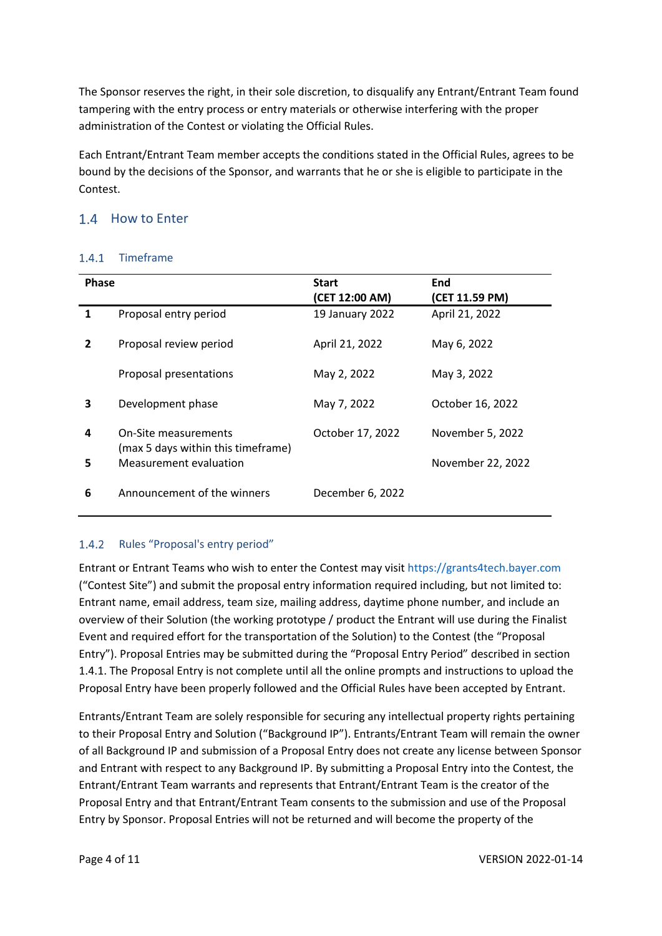The Sponsor reserves the right, in their sole discretion, to disqualify any Entrant/Entrant Team found tampering with the entry process or entry materials or otherwise interfering with the proper administration of the Contest or violating the Official Rules.

Each Entrant/Entrant Team member accepts the conditions stated in the Official Rules, agrees to be bound by the decisions of the Sponsor, and warrants that he or she is eligible to participate in the Contest.

# <span id="page-3-0"></span>1.4 How to Enter

### 1.4.1 Timeframe

| <b>Phase</b> |                                                            | <b>Start</b><br>(CET 12:00 AM) | End<br>(CET 11.59 PM) |
|--------------|------------------------------------------------------------|--------------------------------|-----------------------|
| 1            | Proposal entry period                                      | 19 January 2022                | April 21, 2022        |
| 2            | Proposal review period                                     | April 21, 2022                 | May 6, 2022           |
|              | Proposal presentations                                     | May 2, 2022                    | May 3, 2022           |
| 3            | Development phase                                          | May 7, 2022                    | October 16, 2022      |
| 4            | On-Site measurements<br>(max 5 days within this timeframe) | October 17, 2022               | November 5, 2022      |
| 5            | Measurement evaluation                                     |                                | November 22, 2022     |
| 6            | Announcement of the winners                                | December 6, 2022               |                       |

## 1.4.2 Rules "Proposal's entry period"

Entrant or Entrant Teams who wish to enter the Contest may visit https://grants4tech.bayer.com ("Contest Site") and submit the proposal entry information required including, but not limited to: Entrant name, email address, team size, mailing address, daytime phone number, and include an overview of their Solution (the working prototype / product the Entrant will use during the Finalist Event and required effort for the transportation of the Solution) to the Contest (the "Proposal Entry"). Proposal Entries may be submitted during the "Proposal Entry Period" described in section [1.4.1.](#page-3-0) The Proposal Entry is not complete until all the online prompts and instructions to upload the Proposal Entry have been properly followed and the Official Rules have been accepted by Entrant.

Entrants/Entrant Team are solely responsible for securing any intellectual property rights pertaining to their Proposal Entry and Solution ("Background IP"). Entrants/Entrant Team will remain the owner of all Background IP and submission of a Proposal Entry does not create any license between Sponsor and Entrant with respect to any Background IP. By submitting a Proposal Entry into the Contest, the Entrant/Entrant Team warrants and represents that Entrant/Entrant Team is the creator of the Proposal Entry and that Entrant/Entrant Team consents to the submission and use of the Proposal Entry by Sponsor. Proposal Entries will not be returned and will become the property of the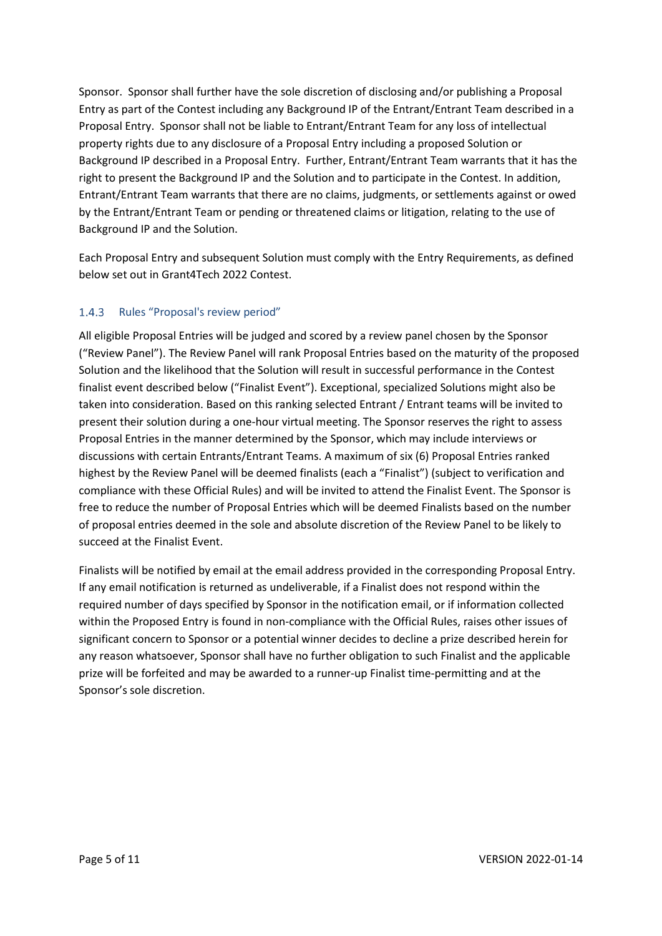Sponsor. Sponsor shall further have the sole discretion of disclosing and/or publishing a Proposal Entry as part of the Contest including any Background IP of the Entrant/Entrant Team described in a Proposal Entry. Sponsor shall not be liable to Entrant/Entrant Team for any loss of intellectual property rights due to any disclosure of a Proposal Entry including a proposed Solution or Background IP described in a Proposal Entry. Further, Entrant/Entrant Team warrants that it has the right to present the Background IP and the Solution and to participate in the Contest. In addition, Entrant/Entrant Team warrants that there are no claims, judgments, or settlements against or owed by the Entrant/Entrant Team or pending or threatened claims or litigation, relating to the use of Background IP and the Solution.

Each Proposal Entry and subsequent Solution must comply with the Entry Requirements, as defined below set out in Grant4Tech 2022 Contest.

#### 1.4.3 Rules "Proposal's review period"

All eligible Proposal Entries will be judged and scored by a review panel chosen by the Sponsor ("Review Panel"). The Review Panel will rank Proposal Entries based on the maturity of the proposed Solution and the likelihood that the Solution will result in successful performance in the Contest finalist event described below ("Finalist Event"). Exceptional, specialized Solutions might also be taken into consideration. Based on this ranking selected Entrant / Entrant teams will be invited to present their solution during a one-hour virtual meeting. The Sponsor reserves the right to assess Proposal Entries in the manner determined by the Sponsor, which may include interviews or discussions with certain Entrants/Entrant Teams. A maximum of six (6) Proposal Entries ranked highest by the Review Panel will be deemed finalists (each a "Finalist") (subject to verification and compliance with these Official Rules) and will be invited to attend the Finalist Event. The Sponsor is free to reduce the number of Proposal Entries which will be deemed Finalists based on the number of proposal entries deemed in the sole and absolute discretion of the Review Panel to be likely to succeed at the Finalist Event.

Finalists will be notified by email at the email address provided in the corresponding Proposal Entry. If any email notification is returned as undeliverable, if a Finalist does not respond within the required number of days specified by Sponsor in the notification email, or if information collected within the Proposed Entry is found in non-compliance with the Official Rules, raises other issues of significant concern to Sponsor or a potential winner decides to decline a prize described herein for any reason whatsoever, Sponsor shall have no further obligation to such Finalist and the applicable prize will be forfeited and may be awarded to a runner-up Finalist time-permitting and at the Sponsor's sole discretion.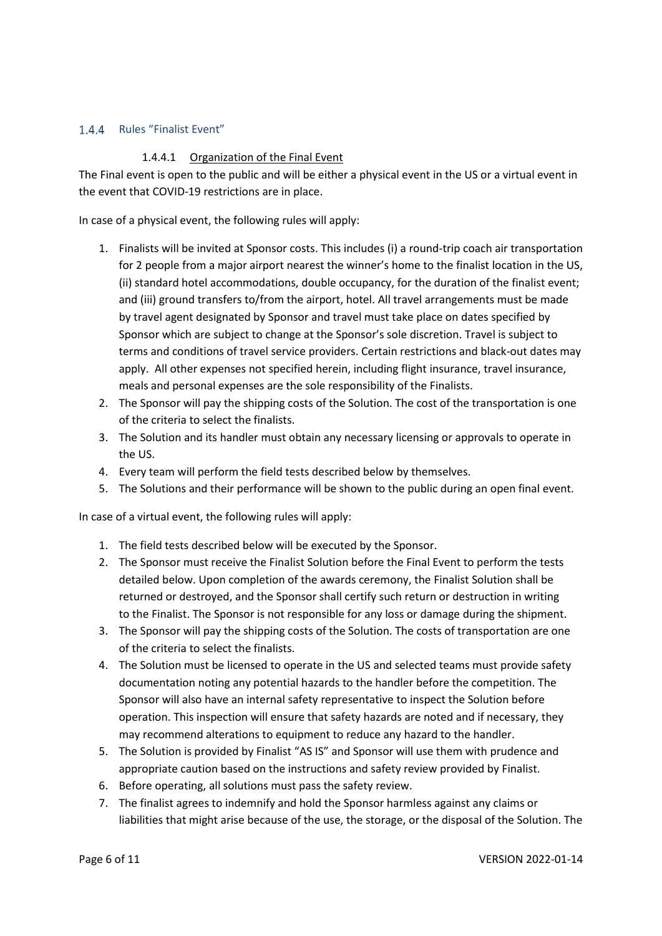#### 1.4.4 Rules "Finalist Event"

#### 1.4.4.1 Organization of the Final Event

The Final event is open to the public and will be either a physical event in the US or a virtual event in the event that COVID-19 restrictions are in place.

In case of a physical event, the following rules will apply:

- 1. Finalists will be invited at Sponsor costs. This includes (i) a round-trip coach air transportation for 2 people from a major airport nearest the winner's home to the finalist location in the US, (ii) standard hotel accommodations, double occupancy, for the duration of the finalist event; and (iii) ground transfers to/from the airport, hotel. All travel arrangements must be made by travel agent designated by Sponsor and travel must take place on dates specified by Sponsor which are subject to change at the Sponsor's sole discretion. Travel is subject to terms and conditions of travel service providers. Certain restrictions and black-out dates may apply. All other expenses not specified herein, including flight insurance, travel insurance, meals and personal expenses are the sole responsibility of the Finalists.
- 2. The Sponsor will pay the shipping costs of the Solution. The cost of the transportation is one of the criteria to select the finalists.
- 3. The Solution and its handler must obtain any necessary licensing or approvals to operate in the US.
- 4. Every team will perform the field tests described below by themselves.
- 5. The Solutions and their performance will be shown to the public during an open final event.

In case of a virtual event, the following rules will apply:

- 1. The field tests described below will be executed by the Sponsor.
- 2. The Sponsor must receive the Finalist Solution before the Final Event to perform the tests detailed below. Upon completion of the awards ceremony, the Finalist Solution shall be returned or destroyed, and the Sponsor shall certify such return or destruction in writing to the Finalist. The Sponsor is not responsible for any loss or damage during the shipment.
- 3. The Sponsor will pay the shipping costs of the Solution. The costs of transportation are one of the criteria to select the finalists.
- 4. The Solution must be licensed to operate in the US and selected teams must provide safety documentation noting any potential hazards to the handler before the competition. The Sponsor will also have an internal safety representative to inspect the Solution before operation. This inspection will ensure that safety hazards are noted and if necessary, they may recommend alterations to equipment to reduce any hazard to the handler.
- 5. The Solution is provided by Finalist "AS IS" and Sponsor will use them with prudence and appropriate caution based on the instructions and safety review provided by Finalist.
- 6. Before operating, all solutions must pass the safety review.
- 7. The finalist agrees to indemnify and hold the Sponsor harmless against any claims or liabilities that might arise because of the use, the storage, or the disposal of the Solution. The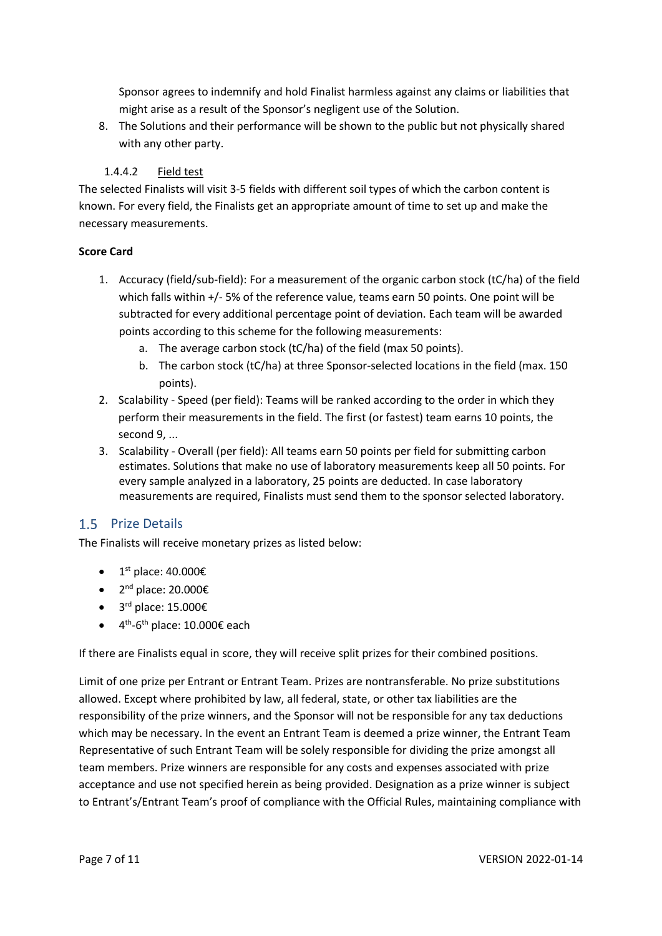Sponsor agrees to indemnify and hold Finalist harmless against any claims or liabilities that might arise as a result of the Sponsor's negligent use of the Solution.

8. The Solutions and their performance will be shown to the public but not physically shared with any other party.

#### 1.4.4.2 Field test

The selected Finalists will visit 3-5 fields with different soil types of which the carbon content is known. For every field, the Finalists get an appropriate amount of time to set up and make the necessary measurements.

#### **Score Card**

- 1. Accuracy (field/sub-field): For a measurement of the organic carbon stock (tC/ha) of the field which falls within +/- 5% of the reference value, teams earn 50 points. One point will be subtracted for every additional percentage point of deviation. Each team will be awarded points according to this scheme for the following measurements:
	- a. The average carbon stock (tC/ha) of the field (max 50 points).
	- b. The carbon stock (tC/ha) at three Sponsor-selected locations in the field (max. 150 points).
- 2. Scalability Speed (per field): Teams will be ranked according to the order in which they perform their measurements in the field. The first (or fastest) team earns 10 points, the second 9, ...
- 3. Scalability Overall (per field): All teams earn 50 points per field for submitting carbon estimates. Solutions that make no use of laboratory measurements keep all 50 points. For every sample analyzed in a laboratory, 25 points are deducted. In case laboratory measurements are required, Finalists must send them to the sponsor selected laboratory.

## 1.5 Prize Details

The Finalists will receive monetary prizes as listed below:

- $1<sup>st</sup>$  place: 40.000€
- $2^{nd}$  place: 20.000€
- $\bullet$  3<sup>rd</sup> place: 15.000€
- $4^{th}$ -6<sup>th</sup> place: 10.000€ each

If there are Finalists equal in score, they will receive split prizes for their combined positions.

Limit of one prize per Entrant or Entrant Team. Prizes are nontransferable. No prize substitutions allowed. Except where prohibited by law, all federal, state, or other tax liabilities are the responsibility of the prize winners, and the Sponsor will not be responsible for any tax deductions which may be necessary. In the event an Entrant Team is deemed a prize winner, the Entrant Team Representative of such Entrant Team will be solely responsible for dividing the prize amongst all team members. Prize winners are responsible for any costs and expenses associated with prize acceptance and use not specified herein as being provided. Designation as a prize winner is subject to Entrant's/Entrant Team's proof of compliance with the Official Rules, maintaining compliance with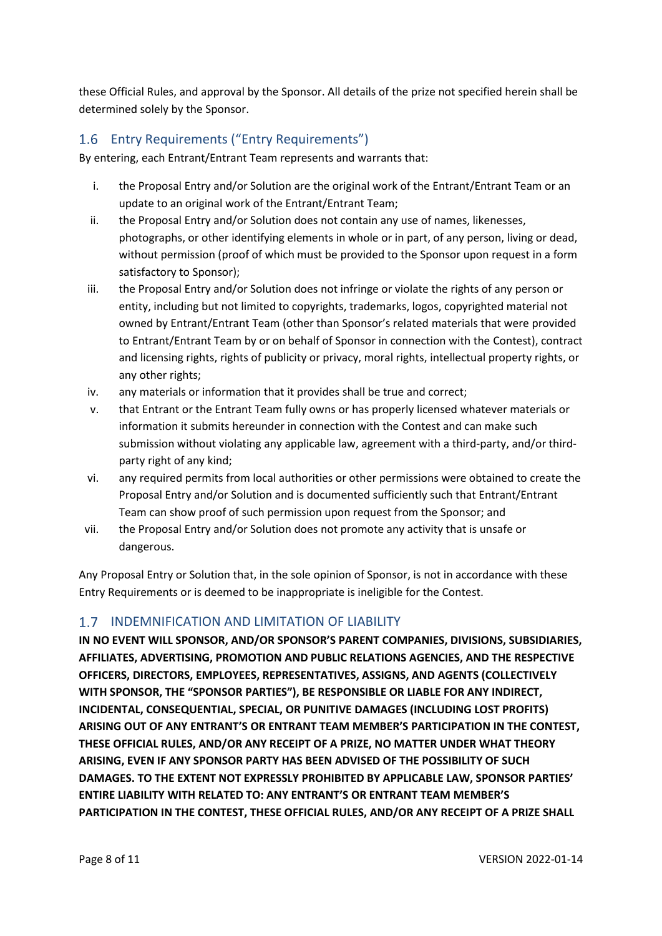these Official Rules, and approval by the Sponsor. All details of the prize not specified herein shall be determined solely by the Sponsor.

# 1.6 Entry Requirements ("Entry Requirements")

By entering, each Entrant/Entrant Team represents and warrants that:

- i. the Proposal Entry and/or Solution are the original work of the Entrant/Entrant Team or an update to an original work of the Entrant/Entrant Team;
- ii. the Proposal Entry and/or Solution does not contain any use of names, likenesses, photographs, or other identifying elements in whole or in part, of any person, living or dead, without permission (proof of which must be provided to the Sponsor upon request in a form satisfactory to Sponsor);
- iii. the Proposal Entry and/or Solution does not infringe or violate the rights of any person or entity, including but not limited to copyrights, trademarks, logos, copyrighted material not owned by Entrant/Entrant Team (other than Sponsor's related materials that were provided to Entrant/Entrant Team by or on behalf of Sponsor in connection with the Contest), contract and licensing rights, rights of publicity or privacy, moral rights, intellectual property rights, or any other rights;
- iv. any materials or information that it provides shall be true and correct;
- v. that Entrant or the Entrant Team fully owns or has properly licensed whatever materials or information it submits hereunder in connection with the Contest and can make such submission without violating any applicable law, agreement with a third-party, and/or thirdparty right of any kind;
- vi. any required permits from local authorities or other permissions were obtained to create the Proposal Entry and/or Solution and is documented sufficiently such that Entrant/Entrant Team can show proof of such permission upon request from the Sponsor; and
- vii. the Proposal Entry and/or Solution does not promote any activity that is unsafe or dangerous.

Any Proposal Entry or Solution that, in the sole opinion of Sponsor, is not in accordance with these Entry Requirements or is deemed to be inappropriate is ineligible for the Contest.

### 1.7 INDEMNIFICATION AND LIMITATION OF LIABILITY

**IN NO EVENT WILL SPONSOR, AND/OR SPONSOR'S PARENT COMPANIES, DIVISIONS, SUBSIDIARIES, AFFILIATES, ADVERTISING, PROMOTION AND PUBLIC RELATIONS AGENCIES, AND THE RESPECTIVE OFFICERS, DIRECTORS, EMPLOYEES, REPRESENTATIVES, ASSIGNS, AND AGENTS (COLLECTIVELY WITH SPONSOR, THE "SPONSOR PARTIES"), BE RESPONSIBLE OR LIABLE FOR ANY INDIRECT, INCIDENTAL, CONSEQUENTIAL, SPECIAL, OR PUNITIVE DAMAGES (INCLUDING LOST PROFITS) ARISING OUT OF ANY ENTRANT'S OR ENTRANT TEAM MEMBER'S PARTICIPATION IN THE CONTEST, THESE OFFICIAL RULES, AND/OR ANY RECEIPT OF A PRIZE, NO MATTER UNDER WHAT THEORY ARISING, EVEN IF ANY SPONSOR PARTY HAS BEEN ADVISED OF THE POSSIBILITY OF SUCH DAMAGES. TO THE EXTENT NOT EXPRESSLY PROHIBITED BY APPLICABLE LAW, SPONSOR PARTIES' ENTIRE LIABILITY WITH RELATED TO: ANY ENTRANT'S OR ENTRANT TEAM MEMBER'S PARTICIPATION IN THE CONTEST, THESE OFFICIAL RULES, AND/OR ANY RECEIPT OF A PRIZE SHALL**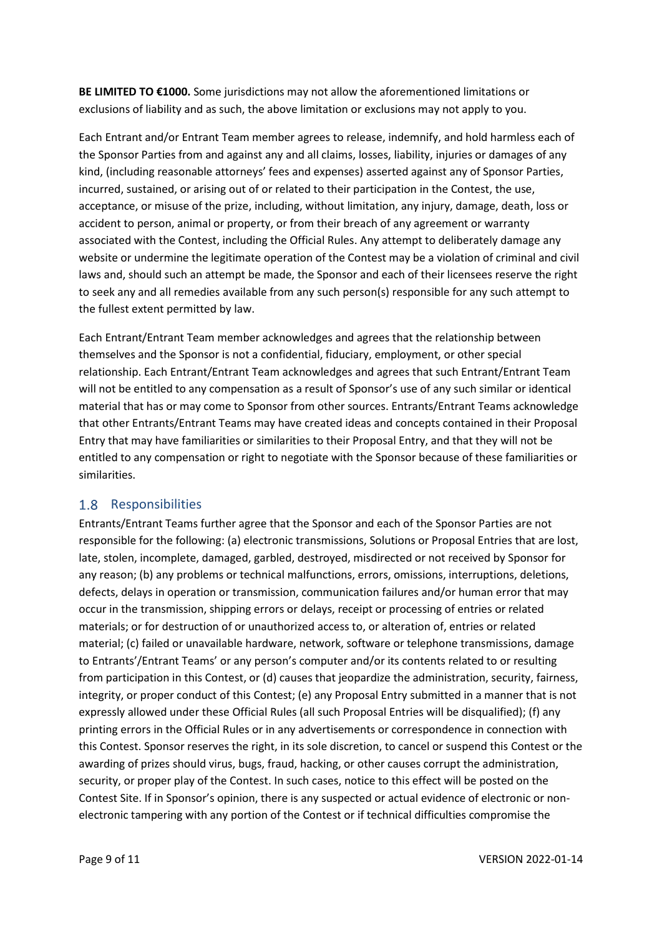**BE LIMITED TO €1000.** Some jurisdictions may not allow the aforementioned limitations or exclusions of liability and as such, the above limitation or exclusions may not apply to you.

Each Entrant and/or Entrant Team member agrees to release, indemnify, and hold harmless each of the Sponsor Parties from and against any and all claims, losses, liability, injuries or damages of any kind, (including reasonable attorneys' fees and expenses) asserted against any of Sponsor Parties, incurred, sustained, or arising out of or related to their participation in the Contest, the use, acceptance, or misuse of the prize, including, without limitation, any injury, damage, death, loss or accident to person, animal or property, or from their breach of any agreement or warranty associated with the Contest, including the Official Rules. Any attempt to deliberately damage any website or undermine the legitimate operation of the Contest may be a violation of criminal and civil laws and, should such an attempt be made, the Sponsor and each of their licensees reserve the right to seek any and all remedies available from any such person(s) responsible for any such attempt to the fullest extent permitted by law.

Each Entrant/Entrant Team member acknowledges and agrees that the relationship between themselves and the Sponsor is not a confidential, fiduciary, employment, or other special relationship. Each Entrant/Entrant Team acknowledges and agrees that such Entrant/Entrant Team will not be entitled to any compensation as a result of Sponsor's use of any such similar or identical material that has or may come to Sponsor from other sources. Entrants/Entrant Teams acknowledge that other Entrants/Entrant Teams may have created ideas and concepts contained in their Proposal Entry that may have familiarities or similarities to their Proposal Entry, and that they will not be entitled to any compensation or right to negotiate with the Sponsor because of these familiarities or similarities.

## 1.8 Responsibilities

Entrants/Entrant Teams further agree that the Sponsor and each of the Sponsor Parties are not responsible for the following: (a) electronic transmissions, Solutions or Proposal Entries that are lost, late, stolen, incomplete, damaged, garbled, destroyed, misdirected or not received by Sponsor for any reason; (b) any problems or technical malfunctions, errors, omissions, interruptions, deletions, defects, delays in operation or transmission, communication failures and/or human error that may occur in the transmission, shipping errors or delays, receipt or processing of entries or related materials; or for destruction of or unauthorized access to, or alteration of, entries or related material; (c) failed or unavailable hardware, network, software or telephone transmissions, damage to Entrants'/Entrant Teams' or any person's computer and/or its contents related to or resulting from participation in this Contest, or (d) causes that jeopardize the administration, security, fairness, integrity, or proper conduct of this Contest; (e) any Proposal Entry submitted in a manner that is not expressly allowed under these Official Rules (all such Proposal Entries will be disqualified); (f) any printing errors in the Official Rules or in any advertisements or correspondence in connection with this Contest. Sponsor reserves the right, in its sole discretion, to cancel or suspend this Contest or the awarding of prizes should virus, bugs, fraud, hacking, or other causes corrupt the administration, security, or proper play of the Contest. In such cases, notice to this effect will be posted on the Contest Site. If in Sponsor's opinion, there is any suspected or actual evidence of electronic or nonelectronic tampering with any portion of the Contest or if technical difficulties compromise the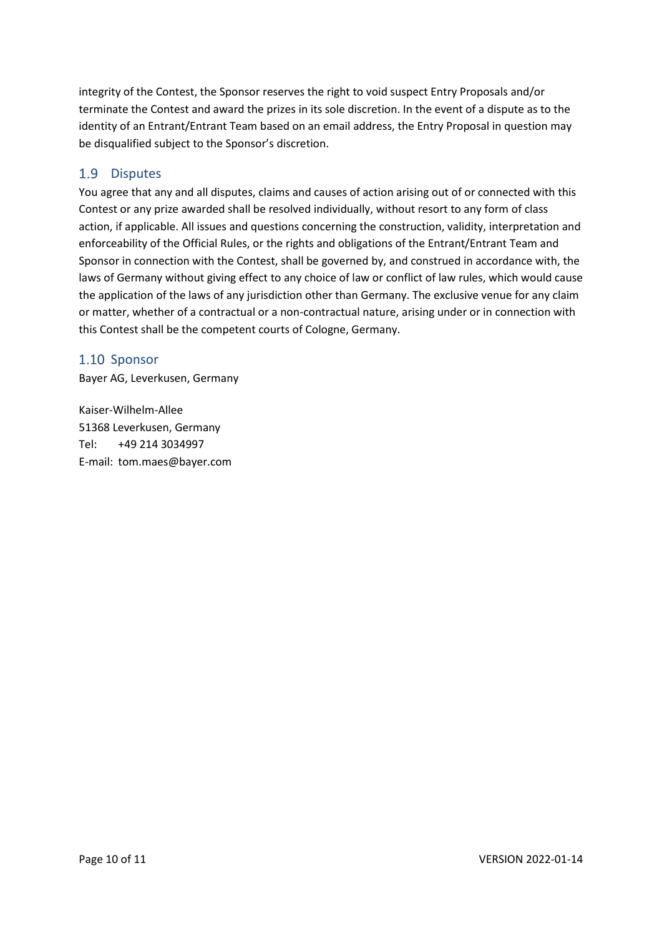integrity of the Contest, the Sponsor reserves the right to void suspect Entry Proposals and/or terminate the Contest and award the prizes in its sole discretion. In the event of a dispute as to the identity of an Entrant/Entrant Team based on an email address, the Entry Proposal in question may be disqualified subject to the Sponsor's discretion.

# 1.9 Disputes

You agree that any and all disputes, claims and causes of action arising out of or connected with this Contest or any prize awarded shall be resolved individually, without resort to any form of class action, if applicable. All issues and questions concerning the construction, validity, interpretation and enforceability of the Official Rules, or the rights and obligations of the Entrant/Entrant Team and Sponsor in connection with the Contest, shall be governed by, and construed in accordance with, the laws of Germany without giving effect to any choice of law or conflict of law rules, which would cause the application of the laws of any jurisdiction other than Germany. The exclusive venue for any claim or matter, whether of a contractual or a non-contractual nature, arising under or in connection with this Contest shall be the competent courts of Cologne, Germany.

## 1.10 Sponsor

Bayer AG, Leverkusen, Germany

Kaiser-Wilhelm-Allee 51368 Leverkusen, Germany Tel: +49 214 3034997 E-mail: tom.maes@bayer.com